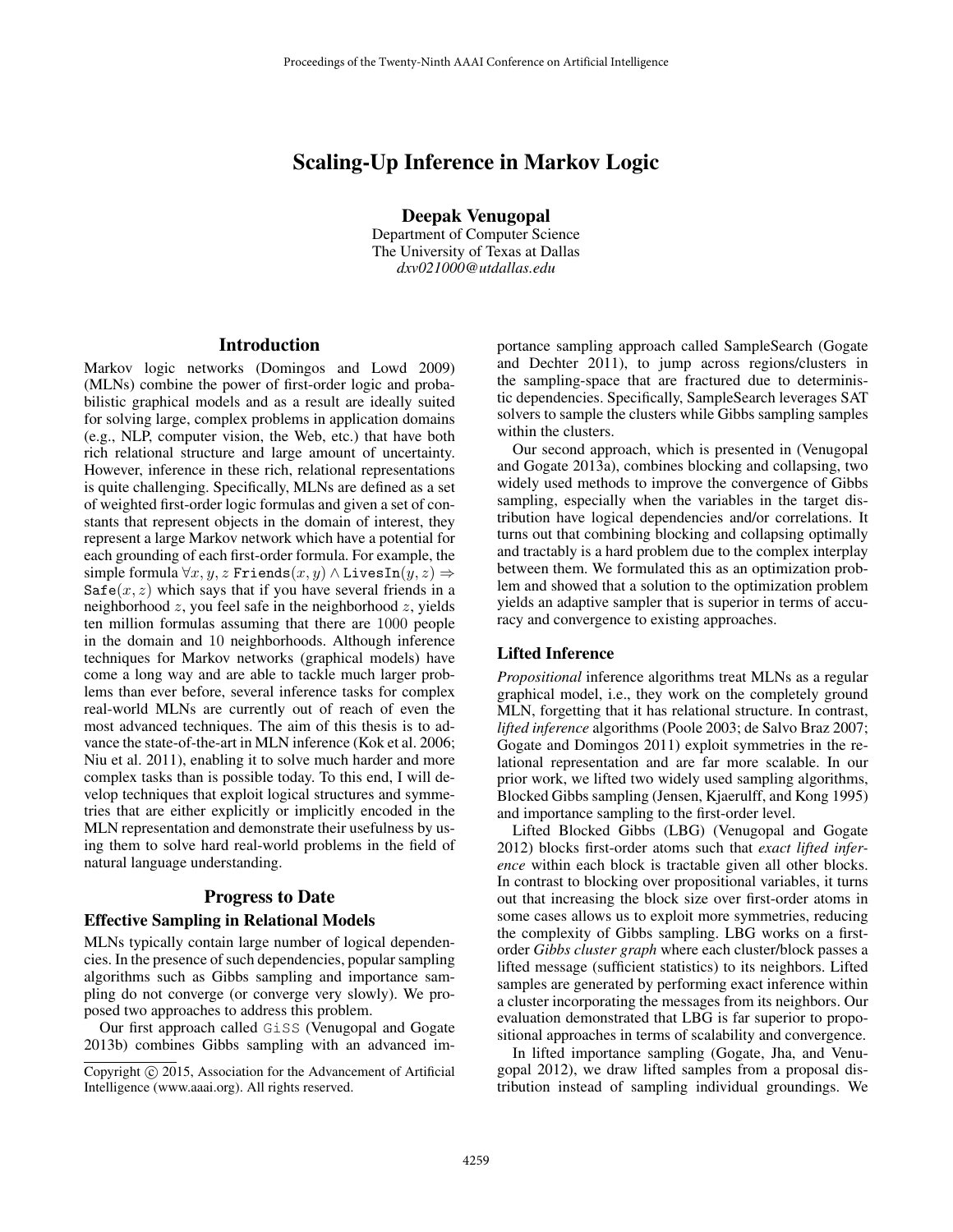# Scaling-Up Inference in Markov Logic

Deepak Venugopal Department of Computer Science

The University of Texas at Dallas *dxv021000@utdallas.edu*

### **Introduction**

Markov logic networks (Domingos and Lowd 2009) (MLNs) combine the power of first-order logic and probabilistic graphical models and as a result are ideally suited for solving large, complex problems in application domains (e.g., NLP, computer vision, the Web, etc.) that have both rich relational structure and large amount of uncertainty. However, inference in these rich, relational representations is quite challenging. Specifically, MLNs are defined as a set of weighted first-order logic formulas and given a set of constants that represent objects in the domain of interest, they represent a large Markov network which have a potential for each grounding of each first-order formula. For example, the simple formula  $\forall x, y, z$  Friends $(x, y) \land$  LivesIn $(y, z) \Rightarrow$  $\text{Safe}(x, z)$  which says that if you have several friends in a neighborhood  $z$ , you feel safe in the neighborhood  $z$ , yields ten million formulas assuming that there are 1000 people in the domain and 10 neighborhoods. Although inference techniques for Markov networks (graphical models) have come a long way and are able to tackle much larger problems than ever before, several inference tasks for complex real-world MLNs are currently out of reach of even the most advanced techniques. The aim of this thesis is to advance the state-of-the-art in MLN inference (Kok et al. 2006; Niu et al. 2011), enabling it to solve much harder and more complex tasks than is possible today. To this end, I will develop techniques that exploit logical structures and symmetries that are either explicitly or implicitly encoded in the MLN representation and demonstrate their usefulness by using them to solve hard real-world problems in the field of natural language understanding.

#### Progress to Date

#### Effective Sampling in Relational Models

MLNs typically contain large number of logical dependencies. In the presence of such dependencies, popular sampling algorithms such as Gibbs sampling and importance sampling do not converge (or converge very slowly). We proposed two approaches to address this problem.

Our first approach called GiSS (Venugopal and Gogate 2013b) combines Gibbs sampling with an advanced importance sampling approach called SampleSearch (Gogate and Dechter 2011), to jump across regions/clusters in the sampling-space that are fractured due to deterministic dependencies. Specifically, SampleSearch leverages SAT solvers to sample the clusters while Gibbs sampling samples within the clusters.

Our second approach, which is presented in (Venugopal and Gogate 2013a), combines blocking and collapsing, two widely used methods to improve the convergence of Gibbs sampling, especially when the variables in the target distribution have logical dependencies and/or correlations. It turns out that combining blocking and collapsing optimally and tractably is a hard problem due to the complex interplay between them. We formulated this as an optimization problem and showed that a solution to the optimization problem yields an adaptive sampler that is superior in terms of accuracy and convergence to existing approaches.

#### Lifted Inference

*Propositional* inference algorithms treat MLNs as a regular graphical model, i.e., they work on the completely ground MLN, forgetting that it has relational structure. In contrast, *lifted inference* algorithms (Poole 2003; de Salvo Braz 2007; Gogate and Domingos 2011) exploit symmetries in the relational representation and are far more scalable. In our prior work, we lifted two widely used sampling algorithms, Blocked Gibbs sampling (Jensen, Kjaerulff, and Kong 1995) and importance sampling to the first-order level.

Lifted Blocked Gibbs (LBG) (Venugopal and Gogate 2012) blocks first-order atoms such that *exact lifted inference* within each block is tractable given all other blocks. In contrast to blocking over propositional variables, it turns out that increasing the block size over first-order atoms in some cases allows us to exploit more symmetries, reducing the complexity of Gibbs sampling. LBG works on a firstorder *Gibbs cluster graph* where each cluster/block passes a lifted message (sufficient statistics) to its neighbors. Lifted samples are generated by performing exact inference within a cluster incorporating the messages from its neighbors. Our evaluation demonstrated that LBG is far superior to propositional approaches in terms of scalability and convergence.

In lifted importance sampling (Gogate, Jha, and Venugopal 2012), we draw lifted samples from a proposal distribution instead of sampling individual groundings. We

Copyright (c) 2015, Association for the Advancement of Artificial Intelligence (www.aaai.org). All rights reserved.